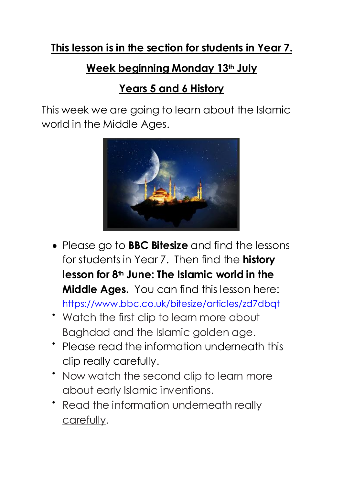## **This lesson is in the section for students in Year 7.**

## **Week beginning Monday 13th July**

## **Years 5 and 6 History**

This week we are going to learn about the Islamic world in the Middle Ages.



- Please go to **BBC Bitesize** and find the lessons for students in Year 7. Then find the **history lesson for 8th June: The Islamic world in the Middle Ages.** You can find this lesson here: <https://www.bbc.co.uk/bitesize/articles/zd7dbqt>
- Watch the first clip to learn more about Baghdad and the Islamic golden age.
- Please read the information underneath this clip really carefully.
- Now watch the second clip to learn more about early Islamic inventions.
- Read the information underneath really carefully.